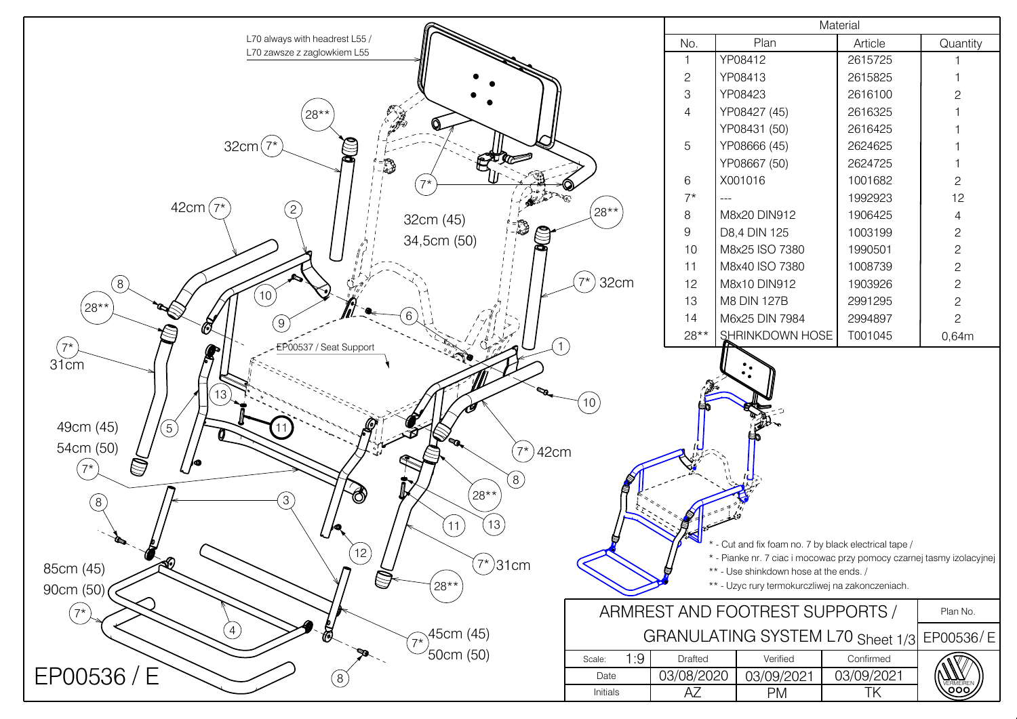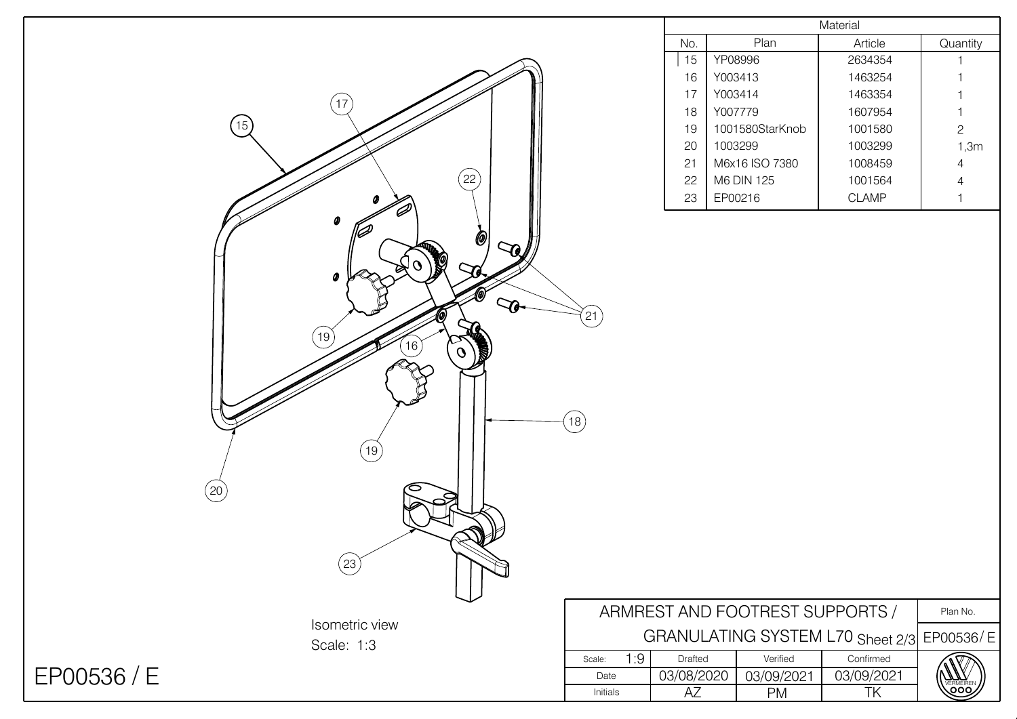|                    |                                            |                                             | Material        |              |                |
|--------------------|--------------------------------------------|---------------------------------------------|-----------------|--------------|----------------|
|                    |                                            | No.                                         | Plan            | Article      | Quantity       |
|                    |                                            | 15                                          | YP08996         | 2634354      |                |
|                    |                                            | 16                                          | Y003413         | 1463254      |                |
| (17)               |                                            | 17                                          | Y003414         | 1463354      |                |
|                    |                                            | 18                                          | Y007779         | 1607954      |                |
| 15                 |                                            | 19                                          | 1001580StarKnob | 1001580      | $\mathbf{2}$   |
|                    |                                            | 20                                          | 1003299         | 1003299      | 1,3m           |
|                    |                                            | 21                                          | M6x16 ISO 7380  | 1008459      | $\overline{A}$ |
| $\left( 22\right)$ |                                            | 22                                          | M6 DIN 125      | 1001564      |                |
|                    |                                            | 23                                          | EP00216         | <b>CLAMP</b> |                |
| Ф                  |                                            |                                             |                 |              |                |
| <b>@</b>           |                                            |                                             |                 |              |                |
| $\infty$           |                                            |                                             |                 |              |                |
| 0                  |                                            |                                             |                 |              |                |
|                    |                                            |                                             |                 |              |                |
| $\mathcal{P}$      |                                            |                                             |                 |              |                |
|                    | $^{(21)}$                                  |                                             |                 |              |                |
| [19]<br>(16)       |                                            |                                             |                 |              |                |
| $\mathcal{O}$      |                                            |                                             |                 |              |                |
|                    |                                            |                                             |                 |              |                |
|                    |                                            |                                             |                 |              |                |
|                    | (18)                                       |                                             |                 |              |                |
|                    |                                            |                                             |                 |              |                |
| [19]               |                                            |                                             |                 |              |                |
|                    |                                            |                                             |                 |              |                |
| (20)               |                                            |                                             |                 |              |                |
|                    |                                            |                                             |                 |              |                |
|                    |                                            |                                             |                 |              |                |
|                    |                                            |                                             |                 |              |                |
|                    |                                            |                                             |                 |              |                |
| (23)               |                                            |                                             |                 |              |                |
|                    |                                            |                                             |                 |              |                |
|                    |                                            | ARMREST AND FOOTREST SUPPORTS /<br>Plan No. |                 |              |                |
| Isometric view     | GRANULATING SYSTEM L70 Sheet 2/3 EP00536/E |                                             |                 |              |                |
| Scale: 1:3         |                                            |                                             |                 |              |                |
|                    | 1:9<br>Scale:                              | Drafted                                     | Verified        | Confirmed    |                |
| EP00536 / E        | Date                                       | 03/08/2020                                  | 03/09/2021      | 03/09/2021   |                |
|                    | Initials                                   | AZ                                          | PM              | TK           | OOC            |